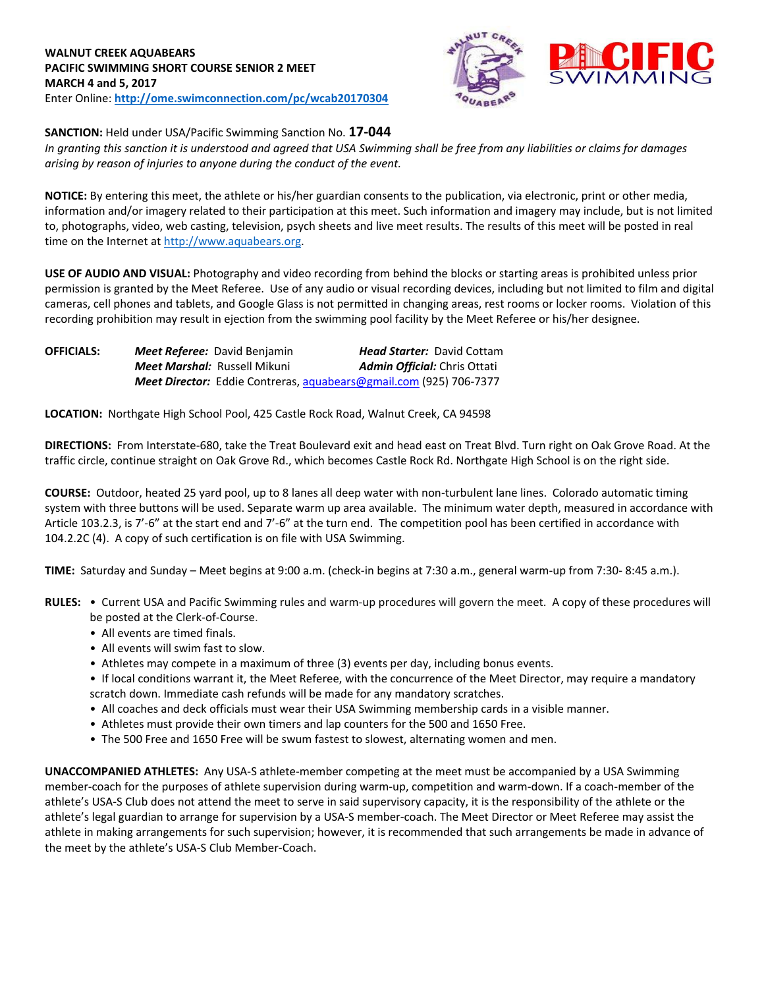

## **SANCTION:** Held under USA/Pacific Swimming Sanction No. **17-044**

*In granting this sanction it is understood and agreed that USA Swimming shall be free from any liabilities or claims for damages arising by reason of injuries to anyone during the conduct of the event.*

**NOTICE:** By entering this meet, the athlete or his/her guardian consents to the publication, via electronic, print or other media, information and/or imagery related to their participation at this meet. Such information and imagery may include, but is not limited to, photographs, video, web casting, television, psych sheets and live meet results. The results of this meet will be posted in real time on the Internet a[t http://www.aquabears.org.](http://www.aquabears.org/)

**USE OF AUDIO AND VISUAL:** Photography and video recording from behind the blocks or starting areas is prohibited unless prior permission is granted by the Meet Referee. Use of any audio or visual recording devices, including but not limited to film and digital cameras, cell phones and tablets, and Google Glass is not permitted in changing areas, rest rooms or locker rooms. Violation of this recording prohibition may result in ejection from the swimming pool facility by the Meet Referee or his/her designee.

| <b>OFFICIALS:</b> | <b>Meet Referee:</b> David Benjamin                                       | <b>Head Starter: David Cottam</b>   |
|-------------------|---------------------------------------------------------------------------|-------------------------------------|
|                   | <b>Meet Marshal: Russell Mikuni</b>                                       | <b>Admin Official:</b> Chris Ottati |
|                   | <b>Meet Director:</b> Eddie Contreras, aquabears@gmail.com (925) 706-7377 |                                     |

**LOCATION:** Northgate High School Pool, 425 Castle Rock Road, Walnut Creek, CA 94598

**DIRECTIONS:** From Interstate-680, take the Treat Boulevard exit and head east on Treat Blvd. Turn right on Oak Grove Road. At the traffic circle, continue straight on Oak Grove Rd., which becomes Castle Rock Rd. Northgate High School is on the right side.

**COURSE:** Outdoor, heated 25 yard pool, up to 8 lanes all deep water with non-turbulent lane lines. Colorado automatic timing system with three buttons will be used. Separate warm up area available. The minimum water depth, measured in accordance with Article 103.2.3, is 7'-6" at the start end and 7'-6" at the turn end. The competition pool has been certified in accordance with 104.2.2C (4). A copy of such certification is on file with USA Swimming.

**TIME:** Saturday and Sunday – Meet begins at 9:00 a.m. (check-in begins at 7:30 a.m., general warm-up from 7:30- 8:45 a.m.).

- **RULES:**  Current USA and Pacific Swimming rules and warm-up procedures will govern the meet. A copy of these procedures will be posted at the Clerk-of-Course.
	- All events are timed finals.
	- All events will swim fast to slow.
	- Athletes may compete in a maximum of three (3) events per day, including bonus events.
	- If local conditions warrant it, the Meet Referee, with the concurrence of the Meet Director, may require a mandatory scratch down. Immediate cash refunds will be made for any mandatory scratches.
	- All coaches and deck officials must wear their USA Swimming membership cards in a visible manner.
	- Athletes must provide their own timers and lap counters for the 500 and 1650 Free.
	- The 500 Free and 1650 Free will be swum fastest to slowest, alternating women and men.

**UNACCOMPANIED ATHLETES:** Any USA-S athlete-member competing at the meet must be accompanied by a USA Swimming member-coach for the purposes of athlete supervision during warm-up, competition and warm-down. If a coach-member of the athlete's USA-S Club does not attend the meet to serve in said supervisory capacity, it is the responsibility of the athlete or the athlete's legal guardian to arrange for supervision by a USA-S member-coach. The Meet Director or Meet Referee may assist the athlete in making arrangements for such supervision; however, it is recommended that such arrangements be made in advance of the meet by the athlete's USA-S Club Member-Coach.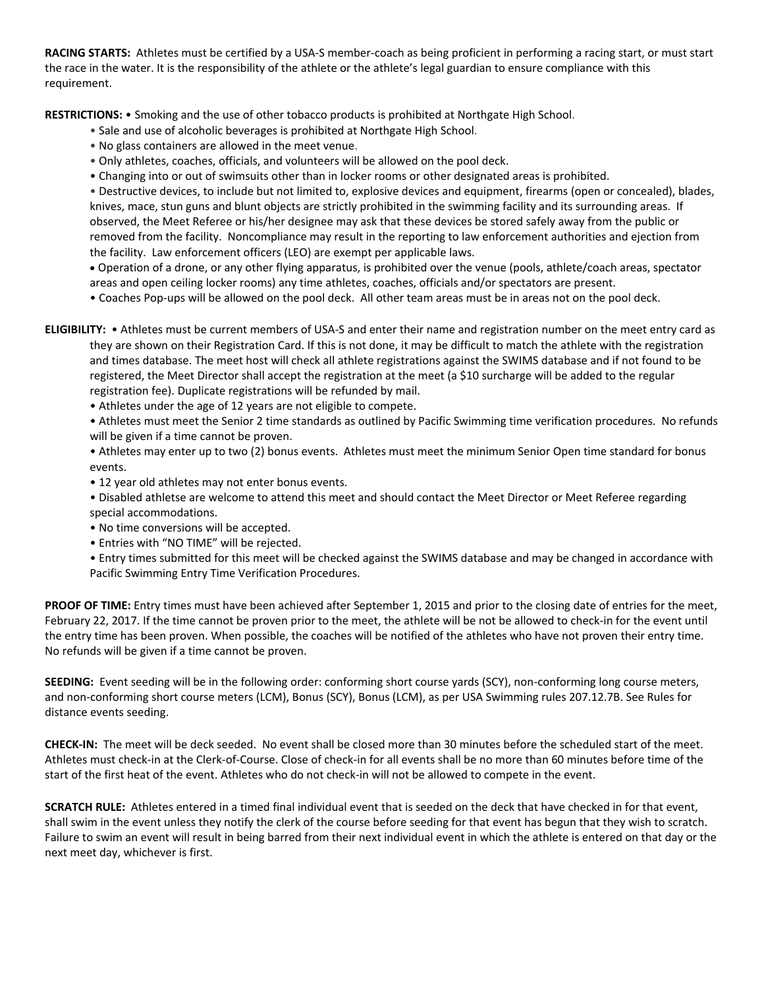**RACING STARTS:** Athletes must be certified by a USA-S member-coach as being proficient in performing a racing start, or must start the race in the water. It is the responsibility of the athlete or the athlete's legal guardian to ensure compliance with this requirement.

**RESTRICTIONS:** • Smoking and the use of other tobacco products is prohibited at Northgate High School.

- Sale and use of alcoholic beverages is prohibited at Northgate High School.
- No glass containers are allowed in the meet venue.
- Only athletes, coaches, officials, and volunteers will be allowed on the pool deck.
- Changing into or out of swimsuits other than in locker rooms or other designated areas is prohibited.

• Destructive devices, to include but not limited to, explosive devices and equipment, firearms (open or concealed), blades, knives, mace, stun guns and blunt objects are strictly prohibited in the swimming facility and its surrounding areas. If observed, the Meet Referee or his/her designee may ask that these devices be stored safely away from the public or removed from the facility. Noncompliance may result in the reporting to law enforcement authorities and ejection from the facility. Law enforcement officers (LEO) are exempt per applicable laws.

 Operation of a drone, or any other flying apparatus, is prohibited over the venue (pools, athlete/coach areas, spectator areas and open ceiling locker rooms) any time athletes, coaches, officials and/or spectators are present.

• Coaches Pop-ups will be allowed on the pool deck. All other team areas must be in areas not on the pool deck.

**ELIGIBILITY:** • Athletes must be current members of USA-S and enter their name and registration number on the meet entry card as they are shown on their Registration Card. If this is not done, it may be difficult to match the athlete with the registration and times database. The meet host will check all athlete registrations against the SWIMS database and if not found to be registered, the Meet Director shall accept the registration at the meet (a \$10 surcharge will be added to the regular registration fee). Duplicate registrations will be refunded by mail.

• Athletes under the age of 12 years are not eligible to compete.

• Athletes must meet the Senior 2 time standards as outlined by Pacific Swimming time verification procedures. No refunds will be given if a time cannot be proven.

• Athletes may enter up to two (2) bonus events. Athletes must meet the minimum Senior Open time standard for bonus events.

- 12 year old athletes may not enter bonus events.
- Disabled athletse are welcome to attend this meet and should contact the Meet Director or Meet Referee regarding special accommodations.
- No time conversions will be accepted.
- Entries with "NO TIME" will be rejected.
- Entry times submitted for this meet will be checked against the SWIMS database and may be changed in accordance with Pacific Swimming Entry Time Verification Procedures.

**PROOF OF TIME:** Entry times must have been achieved after September 1, 2015 and prior to the closing date of entries for the meet, February 22, 2017. If the time cannot be proven prior to the meet, the athlete will be not be allowed to check-in for the event until the entry time has been proven. When possible, the coaches will be notified of the athletes who have not proven their entry time. No refunds will be given if a time cannot be proven.

**SEEDING:** Event seeding will be in the following order: conforming short course yards (SCY), non-conforming long course meters, and non-conforming short course meters (LCM), Bonus (SCY), Bonus (LCM), as per USA Swimming rules 207.12.7B. See Rules for distance events seeding.

**CHECK-IN:** The meet will be deck seeded. No event shall be closed more than 30 minutes before the scheduled start of the meet. Athletes must check-in at the Clerk-of-Course. Close of check-in for all events shall be no more than 60 minutes before time of the start of the first heat of the event. Athletes who do not check-in will not be allowed to compete in the event.

**SCRATCH RULE:** Athletes entered in a timed final individual event that is seeded on the deck that have checked in for that event, shall swim in the event unless they notify the clerk of the course before seeding for that event has begun that they wish to scratch. Failure to swim an event will result in being barred from their next individual event in which the athlete is entered on that day or the next meet day, whichever is first.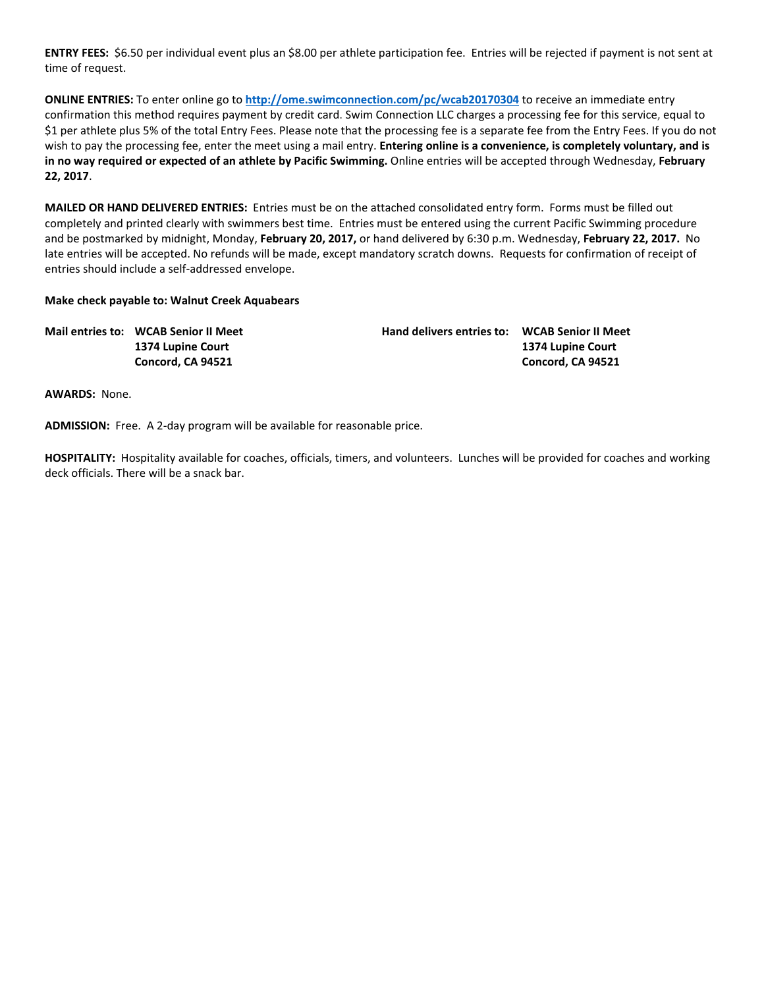**ENTRY FEES:** \$6.50 per individual event plus an \$8.00 per athlete participation fee. Entries will be rejected if payment is not sent at time of request.

**ONLINE ENTRIES:** To enter online go to **<http://ome.swimconnection.com/pc/wcab20170304>** to receive an immediate entry confirmation this method requires payment by credit card. Swim Connection LLC charges a processing fee for this service, equal to \$1 per athlete plus 5% of the total Entry Fees. Please note that the processing fee is a separate fee from the Entry Fees. If you do not wish to pay the processing fee, enter the meet using a mail entry. **Entering online is a convenience, is completely voluntary, and is in no way required or expected of an athlete by Pacific Swimming.** Online entries will be accepted through Wednesday, **February 22, 2017**.

**MAILED OR HAND DELIVERED ENTRIES:** Entries must be on the attached consolidated entry form. Forms must be filled out completely and printed clearly with swimmers best time. Entries must be entered using the current Pacific Swimming procedure and be postmarked by midnight, Monday, **February 20, 2017,** or hand delivered by 6:30 p.m. Wednesday, **February 22, 2017.** No late entries will be accepted. No refunds will be made, except mandatory scratch downs. Requests for confirmation of receipt of entries should include a self-addressed envelope.

### **Make check payable to: Walnut Creek Aquabears**

| Mail entries to: WCAB Senior II Meet | Hand delivers entries to: WCAB Senior II Meet |                   |
|--------------------------------------|-----------------------------------------------|-------------------|
| 1374 Lupine Court                    |                                               | 1374 Lupine Court |
| Concord, CA 94521                    |                                               | Concord, CA 94521 |

**AWARDS:** None.

**ADMISSION:** Free. A 2-day program will be available for reasonable price.

**HOSPITALITY:** Hospitality available for coaches, officials, timers, and volunteers. Lunches will be provided for coaches and working deck officials. There will be a snack bar.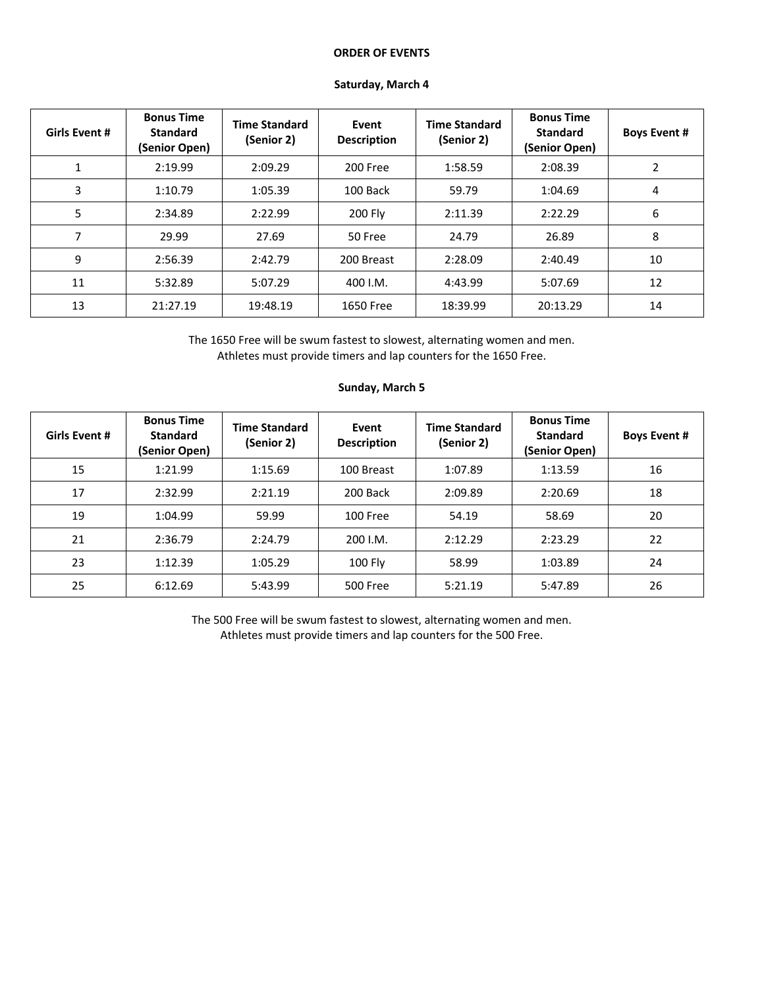#### **ORDER OF EVENTS**

| <b>Girls Event #</b> | <b>Bonus Time</b><br><b>Standard</b><br>(Senior Open) | <b>Time Standard</b><br>(Senior 2) | Event<br><b>Description</b> | <b>Time Standard</b><br>(Senior 2) | <b>Bonus Time</b><br><b>Standard</b><br>(Senior Open) | <b>Boys Event #</b> |  |
|----------------------|-------------------------------------------------------|------------------------------------|-----------------------------|------------------------------------|-------------------------------------------------------|---------------------|--|
|                      | 2:19.99                                               | 2:09.29                            | 200 Free                    | 1:58.59                            | 2:08.39                                               | 2                   |  |
| 3                    | 1:10.79                                               | 1:05.39                            | 100 Back                    | 59.79                              | 1:04.69                                               | 4                   |  |
| 5                    | 2:34.89                                               | 2:22.99                            | 200 Fly                     | 2:11.39                            | 2:22.29                                               | 6                   |  |
| 7                    | 29.99                                                 | 27.69                              | 50 Free                     | 24.79                              | 26.89                                                 | 8                   |  |
| 9                    | 2:56.39                                               | 2:42.79                            | 200 Breast                  | 2:28.09                            | 2:40.49                                               | 10                  |  |
| 11                   | 5:32.89                                               | 5:07.29                            | 400 I.M.                    | 4:43.99                            | 5:07.69                                               | 12                  |  |
| 13                   | 21:27.19                                              | 19:48.19                           | 1650 Free                   | 18:39.99                           | 20:13.29                                              | 14                  |  |

## **Saturday, March 4**

The 1650 Free will be swum fastest to slowest, alternating women and men. Athletes must provide timers and lap counters for the 1650 Free.

| <b>Girls Event #</b> | <b>Bonus Time</b><br><b>Standard</b><br>(Senior Open) | <b>Time Standard</b><br>(Senior 2) | Event<br><b>Description</b> | <b>Time Standard</b><br>(Senior 2) | <b>Bonus Time</b><br><b>Standard</b><br>(Senior Open) | <b>Boys Event #</b> |  |
|----------------------|-------------------------------------------------------|------------------------------------|-----------------------------|------------------------------------|-------------------------------------------------------|---------------------|--|
| 15                   | 1:21.99                                               | 1:15.69                            | 100 Breast                  | 1:07.89                            | 1:13.59                                               | 16                  |  |
| 17                   | 2:32.99                                               | 2:21.19                            | 200 Back                    | 2:09.89                            | 2:20.69                                               | 18                  |  |
| 19                   | 1:04.99                                               | 59.99                              | 100 Free                    | 54.19                              | 58.69                                                 | 20                  |  |
| 21                   | 2:36.79                                               | 2:24.79                            | 200 I.M.                    | 2:12.29                            | 2:23.29                                               | 22                  |  |
| 23                   | 1:12.39                                               | 1:05.29                            | <b>100 Fly</b>              | 58.99                              | 1:03.89                                               | 24                  |  |
| 25                   | 6:12.69                                               | 5:43.99                            | 500 Free                    | 5:21.19                            | 5:47.89                                               | 26                  |  |

# **Sunday, March 5**

The 500 Free will be swum fastest to slowest, alternating women and men. Athletes must provide timers and lap counters for the 500 Free.